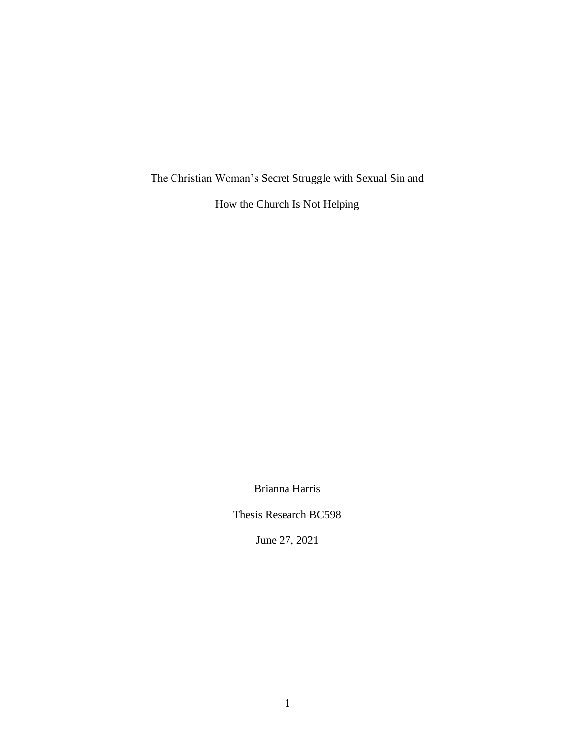The Christian Woman's Secret Struggle with Sexual Sin and

How the Church Is Not Helping

Brianna Harris

Thesis Research BC598

June 27, 2021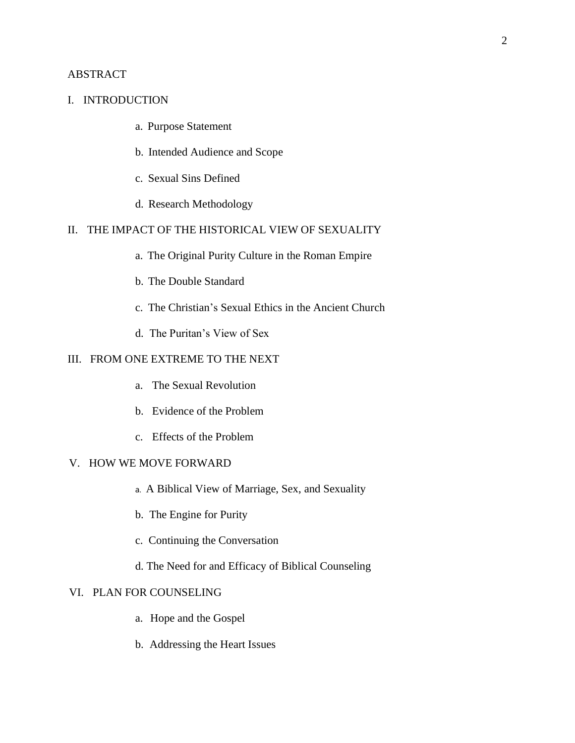# ABSTRACT

## I. INTRODUCTION

- a. Purpose Statement
- b. Intended Audience and Scope
- c. Sexual Sins Defined
- d. Research Methodology

# II. THE IMPACT OF THE HISTORICAL VIEW OF SEXUALITY

- a. The Original Purity Culture in the Roman Empire
- b. The Double Standard
- c. The Christian's Sexual Ethics in the Ancient Church
- d. The Puritan's View of Sex

## III. FROM ONE EXTREME TO THE NEXT

- a. The Sexual Revolution
- b. Evidence of the Problem
- c. Effects of the Problem

## V.     HOW WE MOVE FORWARD

- a. A Biblical View of Marriage, Sex, and Sexuality
- b. The Engine for Purity
- c. Continuing the Conversation
- d. The Need for and Efficacy of Biblical Counseling

### VI. PLAN FOR COUNSELING

- a. Hope and the Gospel
- b. Addressing the Heart Issues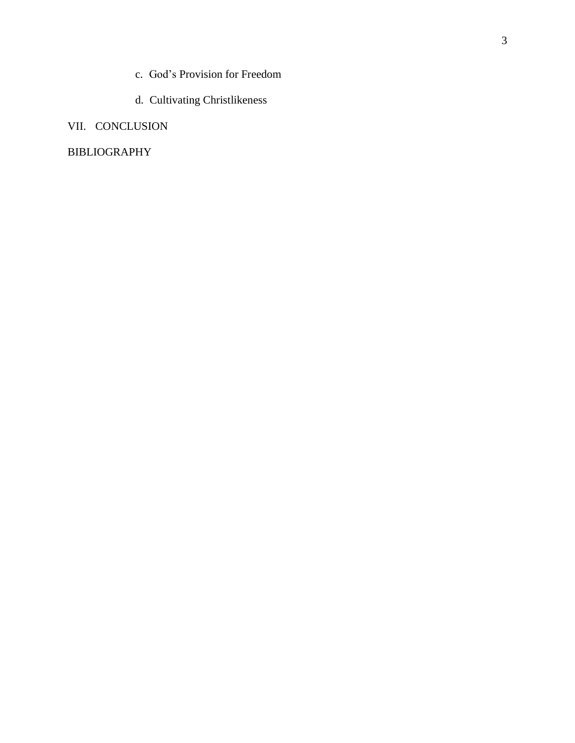- c. God's Provision for Freedom
- d. Cultivating Christlikeness

# VII. CONCLUSION

# BIBLIOGRAPHY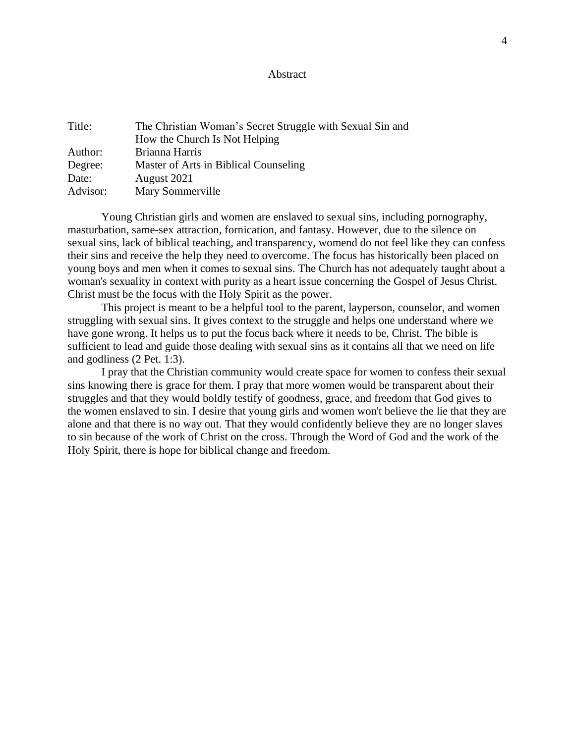#### Abstract

| Title:   | The Christian Woman's Secret Struggle with Sexual Sin and |
|----------|-----------------------------------------------------------|
|          | How the Church Is Not Helping                             |
| Author:  | Brianna Harris                                            |
| Degree:  | Master of Arts in Biblical Counseling                     |
| Date:    | August 2021                                               |
| Advisor: | Mary Sommerville                                          |

Young Christian girls and women are enslaved to sexual sins, including pornography, masturbation, same-sex attraction, fornication, and fantasy. However, due to the silence on sexual sins, lack of biblical teaching, and transparency, womend do not feel like they can confess their sins and receive the help they need to overcome. The focus has historically been placed on young boys and men when it comes to sexual sins. The Church has not adequately taught about a woman's sexuality in context with purity as a heart issue concerning the Gospel of Jesus Christ. Christ must be the focus with the Holy Spirit as the power.

This project is meant to be a helpful tool to the parent, layperson, counselor, and women struggling with sexual sins. It gives context to the struggle and helps one understand where we have gone wrong. It helps us to put the focus back where it needs to be, Christ. The bible is sufficient to lead and guide those dealing with sexual sins as it contains all that we need on life and godliness (2 Pet. 1:3).

I pray that the Christian community would create space for women to confess their sexual sins knowing there is grace for them. I pray that more women would be transparent about their struggles and that they would boldly testify of goodness, grace, and freedom that God gives to the women enslaved to sin. I desire that young girls and women won't believe the lie that they are alone and that there is no way out. That they would confidently believe they are no longer slaves to sin because of the work of Christ on the cross. Through the Word of God and the work of the Holy Spirit, there is hope for biblical change and freedom.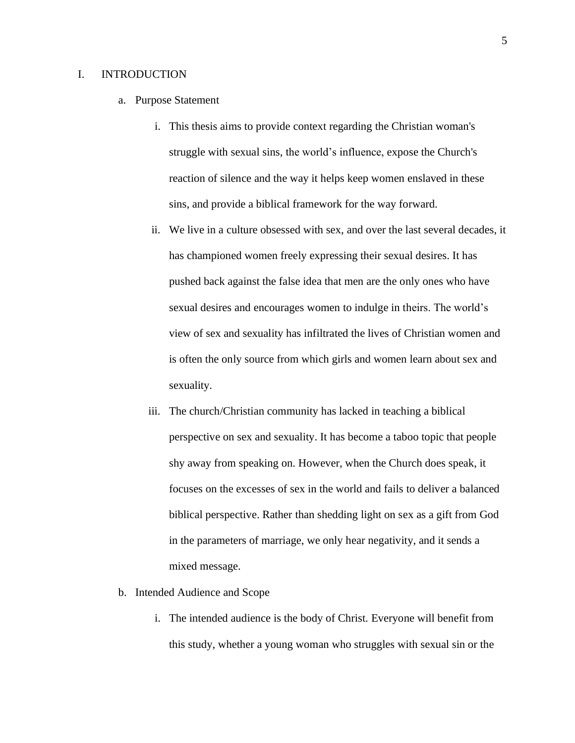#### I. INTRODUCTION

- a. Purpose Statement
	- i. This thesis aims to provide context regarding the Christian woman's struggle with sexual sins, the world's influence, expose the Church's reaction of silence and the way it helps keep women enslaved in these sins, and provide a biblical framework for the way forward.
	- ii. We live in a culture obsessed with sex, and over the last several decades, it has championed women freely expressing their sexual desires. It has pushed back against the false idea that men are the only ones who have sexual desires and encourages women to indulge in theirs. The world's view of sex and sexuality has infiltrated the lives of Christian women and is often the only source from which girls and women learn about sex and sexuality.
	- iii. The church/Christian community has lacked in teaching a biblical perspective on sex and sexuality. It has become a taboo topic that people shy away from speaking on. However, when the Church does speak, it focuses on the excesses of sex in the world and fails to deliver a balanced biblical perspective. Rather than shedding light on sex as a gift from God in the parameters of marriage, we only hear negativity, and it sends a mixed message.
- b. Intended Audience and Scope
	- i. The intended audience is the body of Christ. Everyone will benefit from this study, whether a young woman who struggles with sexual sin or the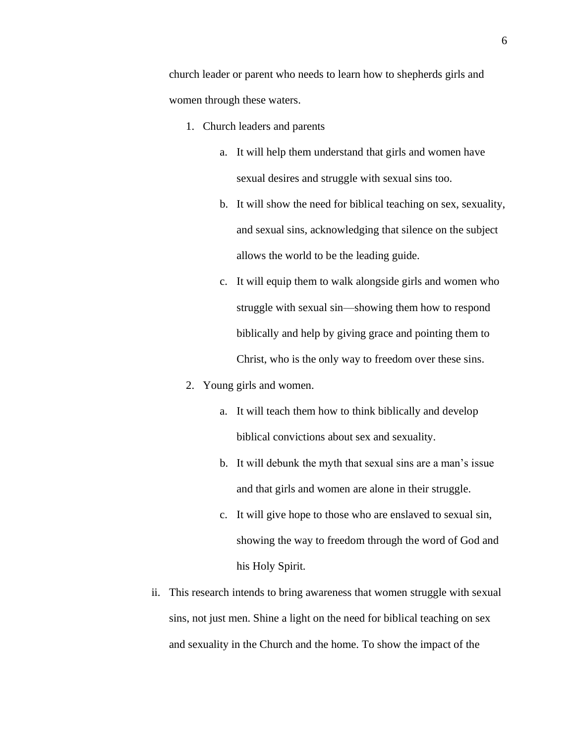church leader or parent who needs to learn how to shepherds girls and women through these waters.

- 1. Church leaders and parents
	- a. It will help them understand that girls and women have sexual desires and struggle with sexual sins too.
	- b. It will show the need for biblical teaching on sex, sexuality, and sexual sins, acknowledging that silence on the subject allows the world to be the leading guide.
	- c. It will equip them to walk alongside girls and women who struggle with sexual sin—showing them how to respond biblically and help by giving grace and pointing them to Christ, who is the only way to freedom over these sins.
- 2. Young girls and women.
	- a. It will teach them how to think biblically and develop biblical convictions about sex and sexuality.
	- b. It will debunk the myth that sexual sins are a man's issue and that girls and women are alone in their struggle.
	- c. It will give hope to those who are enslaved to sexual sin, showing the way to freedom through the word of God and his Holy Spirit.
- ii. This research intends to bring awareness that women struggle with sexual sins, not just men. Shine a light on the need for biblical teaching on sex and sexuality in the Church and the home. To show the impact of the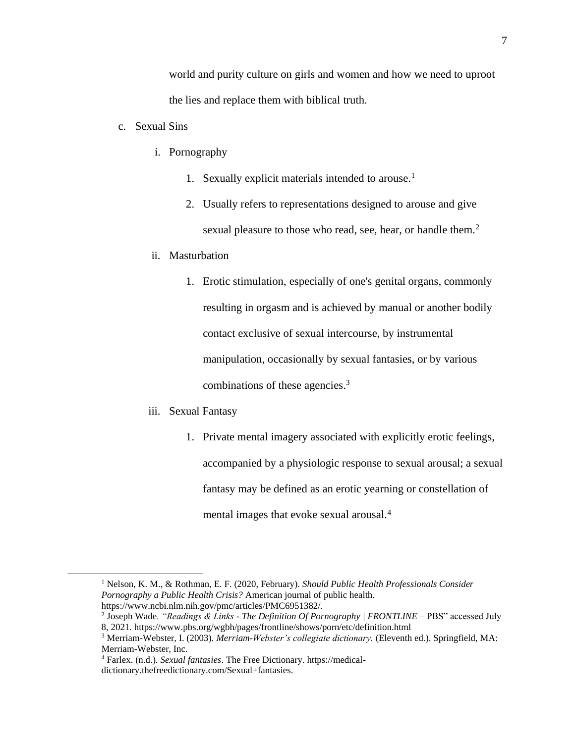world and purity culture on girls and women and how we need to uproot the lies and replace them with biblical truth.

- c. Sexual Sins
	- i. Pornography
		- 1. Sexually explicit materials intended to arouse.<sup>1</sup>
		- 2. Usually refers to representations designed to arouse and give sexual pleasure to those who read, see, hear, or handle them.<sup>2</sup>
	- ii. Masturbation
		- 1. Erotic stimulation, especially of one's genital organs, commonly resulting in orgasm and is achieved by manual or another bodily contact exclusive of sexual intercourse, by instrumental manipulation, occasionally by sexual fantasies, or by various combinations of these agencies.<sup>3</sup>
	- iii. Sexual Fantasy
		- 1. Private mental imagery associated with explicitly erotic feelings, accompanied by a physiologic response to sexual arousal; a sexual fantasy may be defined as an erotic yearning or constellation of mental images that evoke sexual arousal.<sup>4</sup>

<sup>1</sup> Nelson, K. M., & Rothman, E. F. (2020, February). *Should Public Health Professionals Consider Pornography a Public Health Crisis?* American journal of public health. https://www.ncbi.nlm.nih.gov/pmc/articles/PMC6951382/.

<sup>2</sup> Joseph Wade*. "Readings & Links - The Definition Of Pornography | FRONTLINE –* PBS" accessed July 8, 2021. https://www.pbs.org/wgbh/pages/frontline/shows/porn/etc/definition.html

<sup>3</sup> Merriam-Webster, I. (2003). *Merriam-Webster's collegiate dictionary.* (Eleventh ed.). Springfield, MA: Merriam-Webster, Inc.

<sup>4</sup> Farlex. (n.d.). *Sexual fantasies*. The Free Dictionary. https://medicaldictionary.thefreedictionary.com/Sexual+fantasies.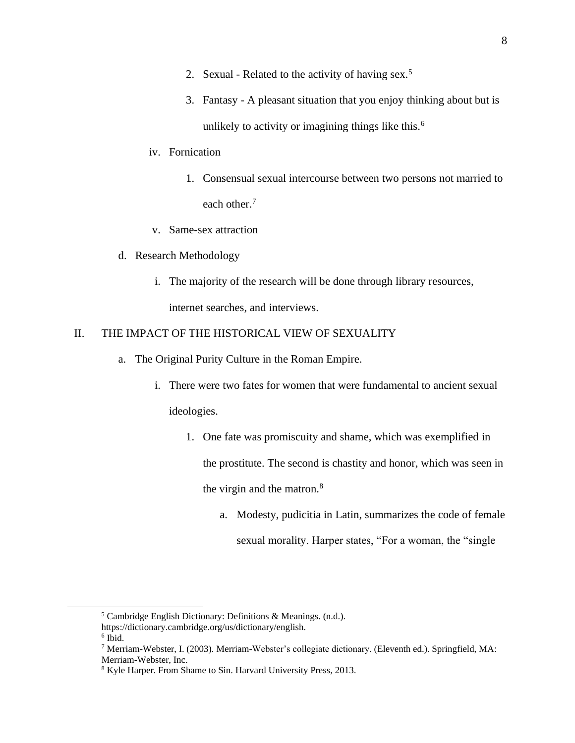- 2. Sexual Related to the activity of having sex.<sup>5</sup>
- 3. Fantasy A pleasant situation that you enjoy thinking about but is unlikely to activity or imagining things like this.<sup>6</sup>
- iv. Fornication
	- 1. Consensual sexual intercourse between two persons not married to each other.<sup>7</sup>
- v. Same-sex attraction
- d. Research Methodology
	- i. The majority of the research will be done through library resources, internet searches, and interviews.

## II. THE IMPACT OF THE HISTORICAL VIEW OF SEXUALITY

- a. The Original Purity Culture in the Roman Empire.
	- i. There were two fates for women that were fundamental to ancient sexual ideologies.
		- 1. One fate was promiscuity and shame, which was exemplified in the prostitute. The second is chastity and honor, which was seen in the virgin and the matron. $8$ 
			- a. Modesty, pudicitia in Latin, summarizes the code of female sexual morality. Harper states, "For a woman, the "single

<sup>5</sup> Cambridge English Dictionary: Definitions & Meanings. (n.d.).

https://dictionary.cambridge.org/us/dictionary/english.

<sup>6</sup> Ibid.

<sup>7</sup> Merriam-Webster, I. (2003). Merriam-Webster's collegiate dictionary. (Eleventh ed.). Springfield, MA: Merriam-Webster, Inc.

<sup>8</sup> Kyle Harper. From Shame to Sin. Harvard University Press, 2013.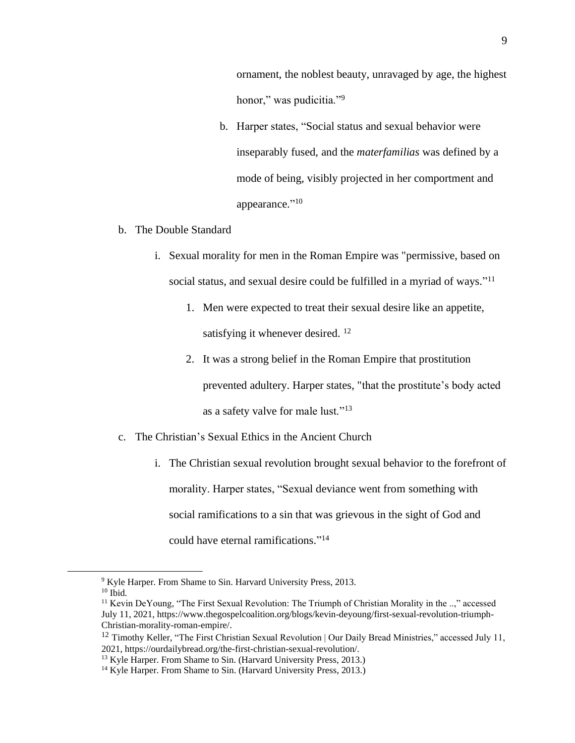ornament, the noblest beauty, unravaged by age, the highest honor," was pudicitia."<sup>9</sup>

- b. Harper states, "Social status and sexual behavior were inseparably fused, and the *materfamilias* was defined by a mode of being, visibly projected in her comportment and appearance."<sup>10</sup>
- b. The Double Standard
	- i. Sexual morality for men in the Roman Empire was "permissive, based on social status, and sexual desire could be fulfilled in a myriad of ways."<sup>11</sup>
		- 1. Men were expected to treat their sexual desire like an appetite, satisfying it whenever desired. <sup>12</sup>
		- 2. It was a strong belief in the Roman Empire that prostitution prevented adultery. Harper states, "that the prostitute's body acted as a safety valve for male lust."<sup>13</sup>
- c. The Christian's Sexual Ethics in the Ancient Church
	- i. The Christian sexual revolution brought sexual behavior to the forefront of morality. Harper states, "Sexual deviance went from something with social ramifications to a sin that was grievous in the sight of God and could have eternal ramifications." 14

<sup>&</sup>lt;sup>9</sup> Kyle Harper. From Shame to Sin. Harvard University Press, 2013.

 $10$  Ibid.

<sup>&</sup>lt;sup>11</sup> Kevin DeYoung, "The First Sexual Revolution: The Triumph of Christian Morality in the ..," accessed July 11, 2021, https://www.thegospelcoalition.org/blogs/kevin-deyoung/first-sexual-revolution-triumph-Christian-morality-roman-empire/.

<sup>&</sup>lt;sup>12</sup> Timothy Keller, "The First Christian Sexual Revolution | Our Daily Bread Ministries," accessed July 11, 2021, https://ourdailybread.org/the-first-christian-sexual-revolution/.

<sup>&</sup>lt;sup>13</sup> Kyle Harper. From Shame to Sin. (Harvard University Press, 2013.)

<sup>&</sup>lt;sup>14</sup> Kyle Harper. From Shame to Sin. (Harvard University Press, 2013.)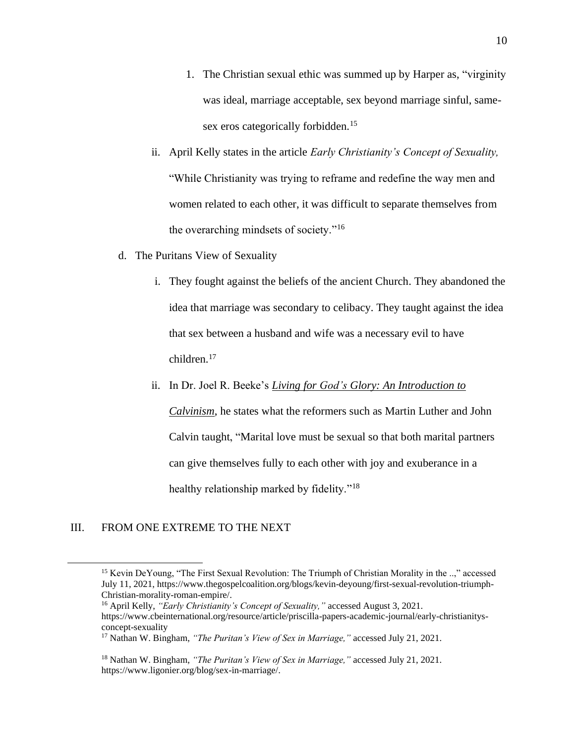- 1. The Christian sexual ethic was summed up by Harper as, "virginity was ideal, marriage acceptable, sex beyond marriage sinful, samesex eros categorically forbidden.<sup>15</sup>
- ii. April Kelly states in the article *Early Christianity's Concept of Sexuality,*  "While Christianity was trying to reframe and redefine the way men and women related to each other, it was difficult to separate themselves from the overarching mindsets of society."<sup>16</sup>
- d. The Puritans View of Sexuality
	- i. They fought against the beliefs of the ancient Church. They abandoned the idea that marriage was secondary to celibacy. They taught against the idea that sex between a husband and wife was a necessary evil to have children.<sup>17</sup>
	- ii. In Dr. Joel R. Beeke's *Living for God's Glory: An [Introduction](http://www.ligonier.org/store/living-for-gods-glory-hardcover/) to*

*[Calvinism](http://www.ligonier.org/store/living-for-gods-glory-hardcover/)*, he states what the reformers such as Martin Luther and John Calvin taught, "Marital love must be sexual so that both marital partners can give themselves fully to each other with joy and exuberance in a healthy relationship marked by fidelity."<sup>18</sup>

## III. FROM ONE EXTREME TO THE NEXT

<sup>&</sup>lt;sup>15</sup> Kevin DeYoung, "The First Sexual Revolution: The Triumph of Christian Morality in the ..," accessed July 11, 2021, https://www.thegospelcoalition.org/blogs/kevin-deyoung/first-sexual-revolution-triumph-Christian-morality-roman-empire/.

<sup>16</sup> April Kelly, *"Early Christianity's Concept of Sexuality,"* accessed August 3, 2021. https://www.cbeinternational.org/resource/article/priscilla-papers-academic-journal/early-christianitysconcept-sexuality

<sup>17</sup> Nathan W. Bingham, *"The Puritan's View of Sex in Marriage,"* accessed July 21, 2021.

<sup>18</sup> Nathan W. Bingham, *"The Puritan's View of Sex in Marriage,"* accessed July 21, 2021. https://www.ligonier.org/blog/sex-in-marriage/.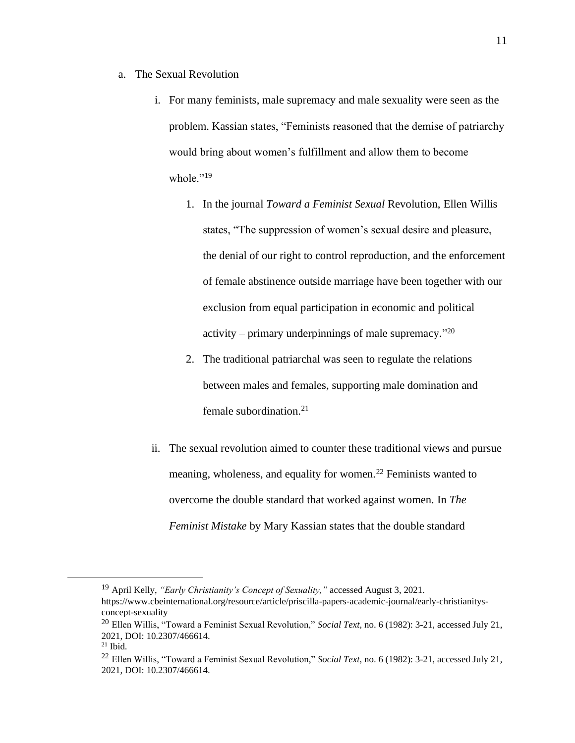- a. The Sexual Revolution
	- i. For many feminists, male supremacy and male sexuality were seen as the problem. Kassian states, "Feminists reasoned that the demise of patriarchy would bring about women's fulfillment and allow them to become whole." $^{19}$ 
		- 1. In the journal *Toward a Feminist Sexual* Revolution, Ellen Willis states, "The suppression of women's sexual desire and pleasure, the denial of our right to control reproduction, and the enforcement of female abstinence outside marriage have been together with our exclusion from equal participation in economic and political activity – primary underpinnings of male supremacy."<sup>20</sup>
		- 2. The traditional patriarchal was seen to regulate the relations between males and females, supporting male domination and female subordination. $21$
	- ii. The sexual revolution aimed to counter these traditional views and pursue meaning, wholeness, and equality for women.<sup>22</sup> Feminists wanted to overcome the double standard that worked against women. In *The Feminist Mistake* by Mary Kassian states that the double standard

<sup>19</sup> April Kelly, *"Early Christianity's Concept of Sexuality,"* accessed August 3, 2021. https://www.cbeinternational.org/resource/article/priscilla-papers-academic-journal/early-christianitysconcept-sexuality

<sup>20</sup> Ellen Willis, "Toward a Feminist Sexual Revolution," *Social Text*, no. 6 (1982): 3-21, accessed July 21, 2021, DOI: 10.2307/466614.

 $21$  Ibid.

<sup>22</sup> Ellen Willis, "Toward a Feminist Sexual Revolution," *Social Text*, no. 6 (1982): 3-21, accessed July 21, 2021, DOI: 10.2307/466614.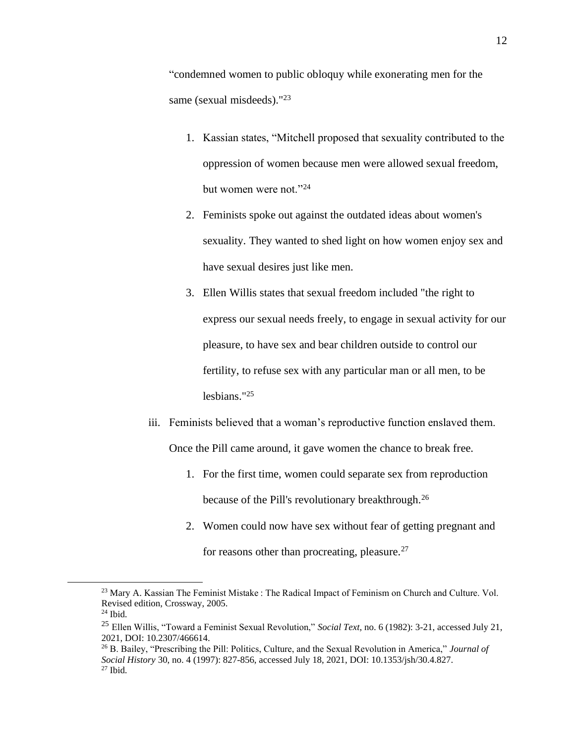"condemned women to public obloquy while exonerating men for the same (sexual misdeeds)."<sup>23</sup>

- 1. Kassian states, "Mitchell proposed that sexuality contributed to the oppression of women because men were allowed sexual freedom, but women were not."<sup>24</sup>
- 2. Feminists spoke out against the outdated ideas about women's sexuality. They wanted to shed light on how women enjoy sex and have sexual desires just like men.
- 3. Ellen Willis states that sexual freedom included "the right to express our sexual needs freely, to engage in sexual activity for our pleasure, to have sex and bear children outside to control our fertility, to refuse sex with any particular man or all men, to be lesbians."<sup>25</sup>
- iii. Feminists believed that a woman's reproductive function enslaved them. Once the Pill came around, it gave women the chance to break free.
	- 1. For the first time, women could separate sex from reproduction because of the Pill's revolutionary breakthrough.<sup>26</sup>
	- 2. Women could now have sex without fear of getting pregnant and for reasons other than procreating, pleasure. $27$

<sup>&</sup>lt;sup>23</sup> Mary A. Kassian The Feminist Mistake : The Radical Impact of Feminism on Church and Culture. Vol. Revised edition, Crossway, 2005.

<sup>24</sup> Ibid.

<sup>25</sup> Ellen Willis, "Toward a Feminist Sexual Revolution," *Social Text*, no. 6 (1982): 3-21, accessed July 21, 2021, DOI: 10.2307/466614.

<sup>26</sup> B. Bailey, "Prescribing the Pill: Politics, Culture, and the Sexual Revolution in America," *Journal of Social History* 30, no. 4 (1997): 827-856, accessed July 18, 2021, DOI: 10.1353/jsh/30.4.827.  $27$  Ibid.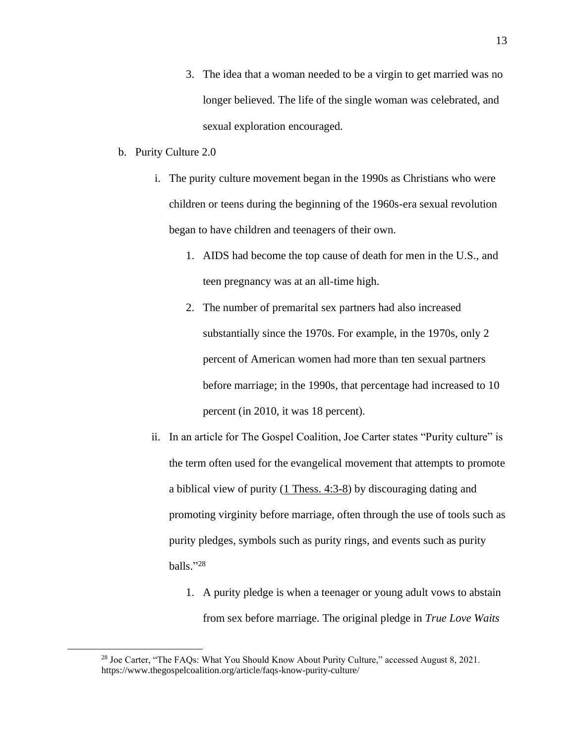- 3. The idea that a woman needed to be a virgin to get married was no longer believed. The life of the single woman was celebrated, and sexual exploration encouraged.
- b. Purity Culture 2.0
	- i. The purity culture movement began in the 1990s as Christians who were children or teens during the beginning of the 1960s-era sexual revolution began to have children and teenagers of their own.
		- 1. AIDS had become the top cause of death for men in the U.S., and teen pregnancy was at an all-time high.
		- 2. The number of premarital sex partners had also increased substantially since the 1970s. For example, in the 1970s, only 2 percent of American women had more than ten sexual partners before marriage; in the 1990s, that percentage had increased to 10 percent (in 2010, it was 18 percent).
	- ii. In an article for The Gospel Coalition, Joe Carter states "Purity culture" is the term often used for the evangelical movement that attempts to promote a biblical view of purity [\(1 Thess. 4:3-8\)](https://www.esv.org/1%20Thess.%204%3A3-8/) by discouraging dating and promoting virginity before marriage, often through the use of tools such as purity pledges, symbols such as purity rings, and events such as purity balls." 28
		- 1. A purity pledge is when a teenager or young adult vows to abstain from sex before marriage. The original pledge in *True Love Waits*

<sup>&</sup>lt;sup>28</sup> Joe Carter, "The FAQs: What You Should Know About Purity Culture," accessed August 8, 2021. https://www.thegospelcoalition.org/article/faqs-know-purity-culture/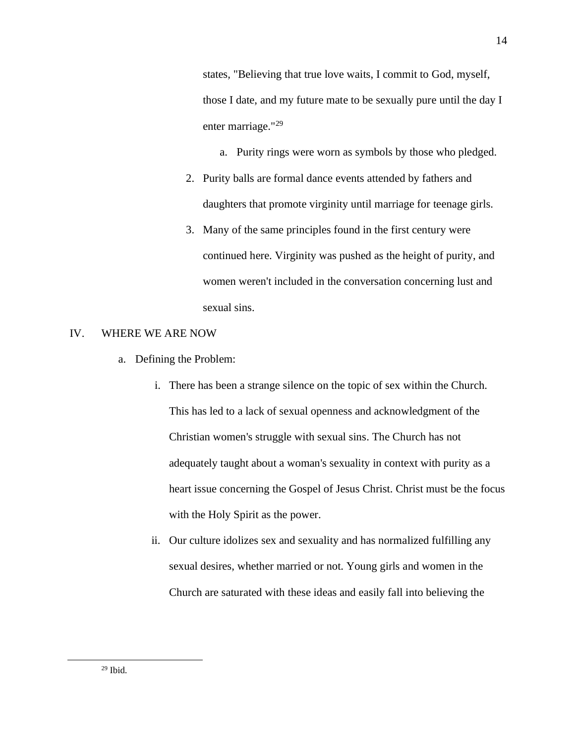states*,* "Believing that true love waits, I commit to God, myself, those I date, and my future mate to be sexually pure until the day I enter marriage."<sup>29</sup>

- a. Purity rings were worn as symbols by those who pledged.
- 2. Purity balls are formal dance events attended by fathers and daughters that promote virginity until marriage for teenage girls.
- 3. Many of the same principles found in the first century were continued here. Virginity was pushed as the height of purity, and women weren't included in the conversation concerning lust and sexual sins.

#### IV. WHERE WE ARE NOW

- a. Defining the Problem:
	- i. There has been a strange silence on the topic of sex within the Church. This has led to a lack of sexual openness and acknowledgment of the Christian women's struggle with sexual sins. The Church has not adequately taught about a woman's sexuality in context with purity as a heart issue concerning the Gospel of Jesus Christ. Christ must be the focus with the Holy Spirit as the power.
	- ii. Our culture idolizes sex and sexuality and has normalized fulfilling any sexual desires, whether married or not. Young girls and women in the Church are saturated with these ideas and easily fall into believing the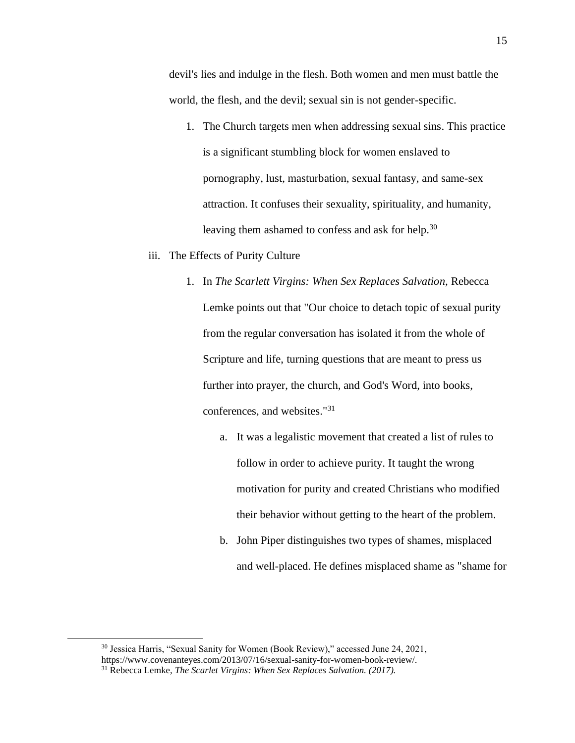devil's lies and indulge in the flesh. Both women and men must battle the world, the flesh, and the devil; sexual sin is not gender-specific.

1. The Church targets men when addressing sexual sins. This practice is a significant stumbling block for women enslaved to pornography, lust, masturbation, sexual fantasy, and same-sex attraction. It confuses their sexuality, spirituality, and humanity, leaving them ashamed to confess and ask for help.<sup>30</sup>

#### iii. The Effects of Purity Culture

- 1. In *The Scarlett Virgins: When Sex Replaces Salvation,* Rebecca Lemke points out that "Our choice to detach topic of sexual purity from the regular conversation has isolated it from the whole of Scripture and life, turning questions that are meant to press us further into prayer, the church, and God's Word, into books, conferences, and websites."<sup>31</sup>
	- a. It was a legalistic movement that created a list of rules to follow in order to achieve purity. It taught the wrong motivation for purity and created Christians who modified their behavior without getting to the heart of the problem.
	- b. John Piper distinguishes two types of shames, misplaced and well-placed. He defines misplaced shame as "shame for

<sup>30</sup> Jessica Harris, "Sexual Sanity for Women (Book Review)," accessed June 24, 2021, https://www.covenanteyes.com/2013/07/16/sexual-sanity-for-women-book-review/.

<sup>31</sup> Rebecca Lemke, *The Scarlet Virgins: When Sex Replaces Salvation. (2017).*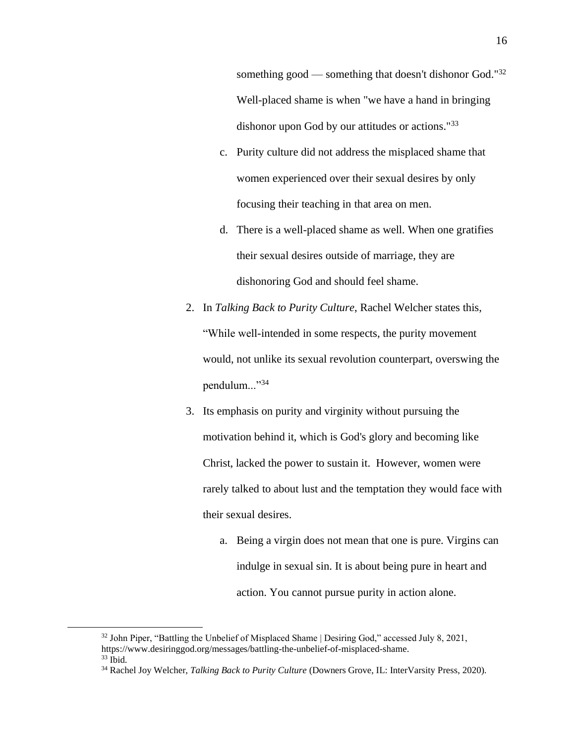something good — something that doesn't dishonor God."<sup>32</sup> Well-placed shame is when "we have a hand in bringing dishonor upon God by our attitudes or actions."<sup>33</sup>

- c. Purity culture did not address the misplaced shame that women experienced over their sexual desires by only focusing their teaching in that area on men.
- d. There is a well-placed shame as well. When one gratifies their sexual desires outside of marriage, they are dishonoring God and should feel shame.
- 2. In *Talking Back to Purity Culture*, Rachel Welcher states this, "While well-intended in some respects, the purity movement would, not unlike its sexual revolution counterpart, overswing the pendulum..."34
- 3. Its emphasis on purity and virginity without pursuing the motivation behind it, which is God's glory and becoming like Christ, lacked the power to sustain it. However, women were rarely talked to about lust and the temptation they would face with their sexual desires.
	- a. Being a virgin does not mean that one is pure. Virgins can indulge in sexual sin. It is about being pure in heart and action. You cannot pursue purity in action alone.

<sup>&</sup>lt;sup>32</sup> John Piper, "Battling the Unbelief of Misplaced Shame | Desiring God," accessed July 8, 2021, https://www.desiringgod.org/messages/battling-the-unbelief-of-misplaced-shame.  $33$  Ibid.

<sup>34</sup> Rachel Joy Welcher, *Talking Back to Purity Culture* (Downers Grove, IL: InterVarsity Press, 2020).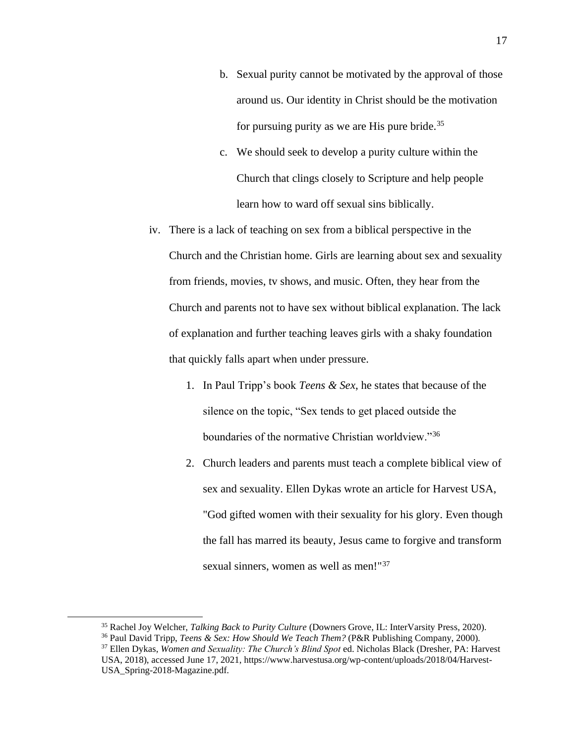- b. Sexual purity cannot be motivated by the approval of those around us. Our identity in Christ should be the motivation for pursuing purity as we are His pure bride.<sup>35</sup>
- c. We should seek to develop a purity culture within the Church that clings closely to Scripture and help people learn how to ward off sexual sins biblically.
- iv. There is a lack of teaching on sex from a biblical perspective in the Church and the Christian home. Girls are learning about sex and sexuality from friends, movies, tv shows, and music. Often, they hear from the Church and parents not to have sex without biblical explanation. The lack of explanation and further teaching leaves girls with a shaky foundation that quickly falls apart when under pressure.
	- 1. In Paul Tripp's book *Teens & Sex*, he states that because of the silence on the topic, "Sex tends to get placed outside the boundaries of the normative Christian worldview."<sup>36</sup>
	- 2. Church leaders and parents must teach a complete biblical view of sex and sexuality. Ellen Dykas wrote an article for Harvest USA, "God gifted women with their sexuality for his glory. Even though the fall has marred its beauty, Jesus came to forgive and transform sexual sinners, women as well as men!"<sup>37</sup>

<sup>35</sup> Rachel Joy Welcher, *Talking Back to Purity Culture* (Downers Grove, IL: InterVarsity Press, 2020).

<sup>36</sup> Paul David Tripp, *Teens & Sex: How Should We Teach Them?* (P&R Publishing Company, 2000).

<sup>37</sup> Ellen Dykas, *Women and Sexuality: The Church's Blind Spot* ed. Nicholas Black (Dresher, PA: Harvest USA, 2018), accessed June 17, 2021, https://www.harvestusa.org/wp-content/uploads/2018/04/Harvest-USA\_Spring-2018-Magazine.pdf.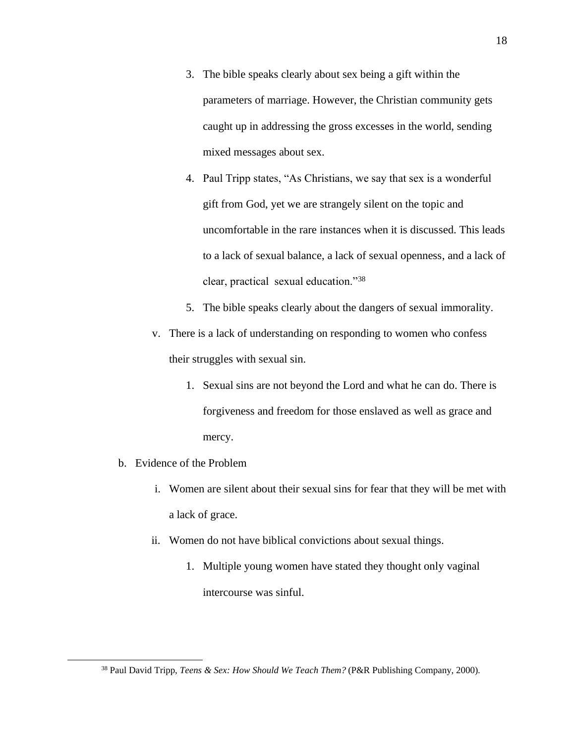- 3. The bible speaks clearly about sex being a gift within the parameters of marriage. However, the Christian community gets caught up in addressing the gross excesses in the world, sending mixed messages about sex.
- 4. Paul Tripp states, "As Christians, we say that sex is a wonderful gift from God, yet we are strangely silent on the topic and uncomfortable in the rare instances when it is discussed. This leads to a lack of sexual balance, a lack of sexual openness, and a lack of clear, practical sexual education."<sup>38</sup>
- 5. The bible speaks clearly about the dangers of sexual immorality.
- v. There is a lack of understanding on responding to women who confess their struggles with sexual sin.
	- 1. Sexual sins are not beyond the Lord and what he can do. There is forgiveness and freedom for those enslaved as well as grace and mercy.
- b. Evidence of the Problem
	- i. Women are silent about their sexual sins for fear that they will be met with a lack of grace.
	- ii. Women do not have biblical convictions about sexual things.
		- 1. Multiple young women have stated they thought only vaginal intercourse was sinful.

<sup>38</sup> Paul David Tripp, *Teens & Sex: How Should We Teach Them?* (P&R Publishing Company, 2000).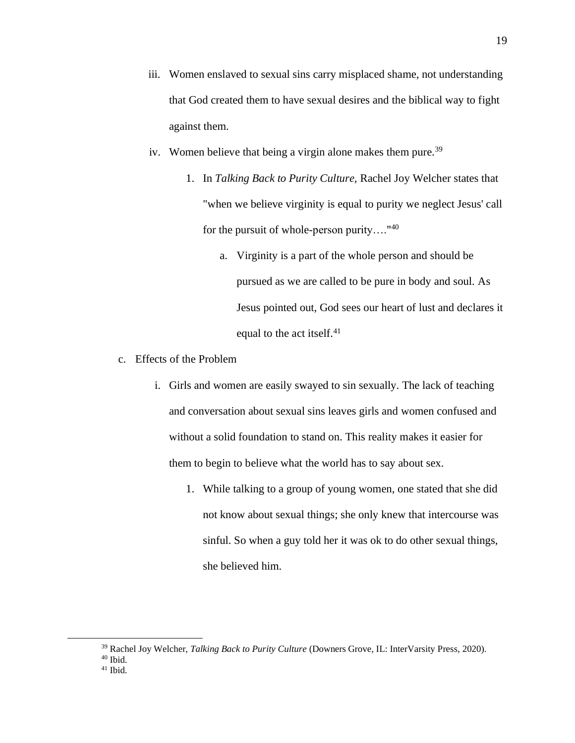- iii. Women enslaved to sexual sins carry misplaced shame, not understanding that God created them to have sexual desires and the biblical way to fight against them.
- iv. Women believe that being a virgin alone makes them pure.<sup>39</sup>
	- 1. In *Talking Back to Purity Culture,* Rachel Joy Welcher states that "when we believe virginity is equal to purity we neglect Jesus' call for the pursuit of whole-person purity…."<sup>40</sup>
		- a. Virginity is a part of the whole person and should be pursued as we are called to be pure in body and soul. As Jesus pointed out, God sees our heart of lust and declares it equal to the act itself.<sup>41</sup>
- c. Effects of the Problem
	- i. Girls and women are easily swayed to sin sexually. The lack of teaching and conversation about sexual sins leaves girls and women confused and without a solid foundation to stand on. This reality makes it easier for them to begin to believe what the world has to say about sex.
		- 1. While talking to a group of young women, one stated that she did not know about sexual things; she only knew that intercourse was sinful. So when a guy told her it was ok to do other sexual things, she believed him.

<sup>39</sup> Rachel Joy Welcher, *Talking Back to Purity Culture* (Downers Grove, IL: InterVarsity Press, 2020).

<sup>40</sup> Ibid.

 $41$  Ibid.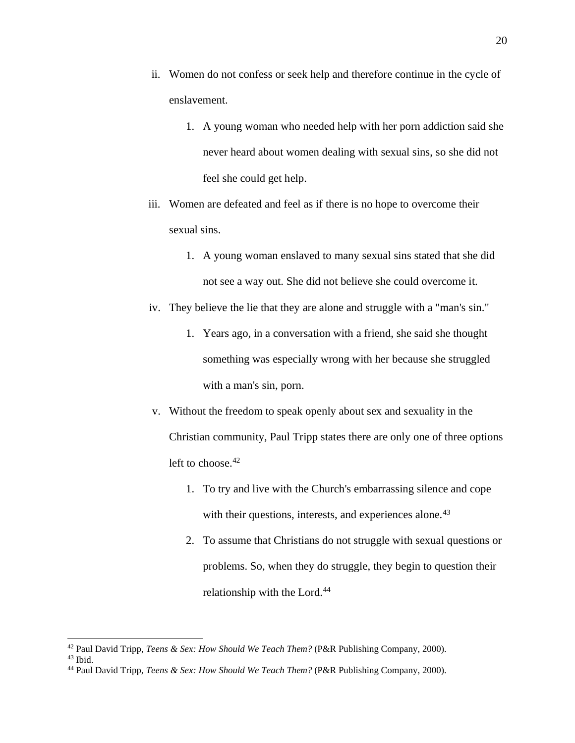- ii. Women do not confess or seek help and therefore continue in the cycle of enslavement.
	- 1. A young woman who needed help with her porn addiction said she never heard about women dealing with sexual sins, so she did not feel she could get help.
- iii. Women are defeated and feel as if there is no hope to overcome their sexual sins.
	- 1. A young woman enslaved to many sexual sins stated that she did not see a way out. She did not believe she could overcome it.
- iv. They believe the lie that they are alone and struggle with a "man's sin."
	- 1. Years ago, in a conversation with a friend, she said she thought something was especially wrong with her because she struggled with a man's sin, porn.
- v. Without the freedom to speak openly about sex and sexuality in the Christian community, Paul Tripp states there are only one of three options left to choose.<sup>42</sup>
	- 1. To try and live with the Church's embarrassing silence and cope with their questions, interests, and experiences alone.<sup>43</sup>
	- 2. To assume that Christians do not struggle with sexual questions or problems. So, when they do struggle, they begin to question their relationship with the Lord.<sup>44</sup>

<sup>42</sup> Paul David Tripp, *Teens & Sex: How Should We Teach Them?* (P&R Publishing Company, 2000).

<sup>43</sup> Ibid.

<sup>44</sup> Paul David Tripp, *Teens & Sex: How Should We Teach Them?* (P&R Publishing Company, 2000).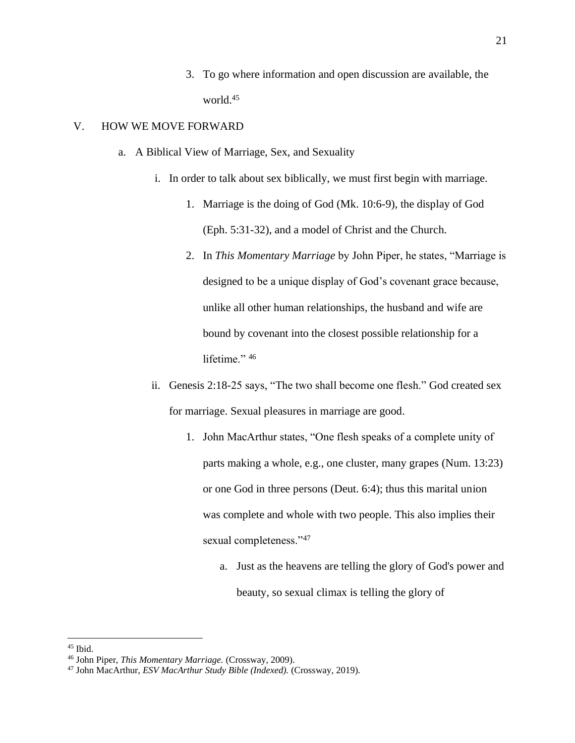3. To go where information and open discussion are available, the world.<sup>45</sup>

## V. HOW WE MOVE FORWARD

- a. A Biblical View of Marriage, Sex, and Sexuality
	- i. In order to talk about sex biblically, we must first begin with marriage.
		- 1. Marriage is the doing of God (Mk. 10:6-9), the display of God (Eph. 5:31-32), and a model of Christ and the Church.
		- 2. In *This Momentary Marriage* by John Piper, he states, "Marriage is designed to be a unique display of God's covenant grace because, unlike all other human relationships, the husband and wife are bound by covenant into the closest possible relationship for a lifetime." 46
	- ii. Genesis 2:18-25 says, "The two shall become one flesh." God created sex for marriage. Sexual pleasures in marriage are good.
		- 1. John MacArthur states, "One flesh speaks of a complete unity of parts making a whole, e.g., one cluster, many grapes (Num. 13:23) or one God in three persons (Deut. 6:4); thus this marital union was complete and whole with two people. This also implies their sexual completeness."<sup>47</sup>
			- a. Just as the heavens are telling the glory of God's power and beauty, so sexual climax is telling the glory of

<sup>45</sup> Ibid.

<sup>46</sup> John Piper, *This Momentary Marriage.* (Crossway, 2009).

<sup>47</sup> John MacArthur, *ESV MacArthur Study Bible (Indexed).* (Crossway, 2019).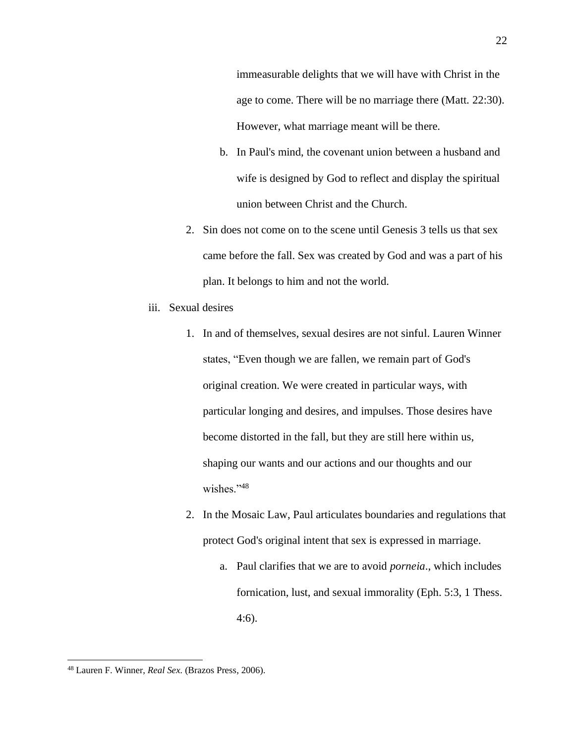immeasurable delights that we will have with Christ in the age to come. There will be no marriage there (Matt. 22:30). However, what marriage meant will be there.

- b. In Paul's mind, the covenant union between a husband and wife is designed by God to reflect and display the spiritual union between Christ and the Church.
- 2. Sin does not come on to the scene until Genesis 3 tells us that sex came before the fall. Sex was created by God and was a part of his plan. It belongs to him and not the world.
- iii. Sexual desires
	- 1. In and of themselves, sexual desires are not sinful. Lauren Winner states, "Even though we are fallen, we remain part of God's original creation. We were created in particular ways, with particular longing and desires, and impulses. Those desires have become distorted in the fall, but they are still here within us, shaping our wants and our actions and our thoughts and our wishes."48
	- 2. In the Mosaic Law, Paul articulates boundaries and regulations that protect God's original intent that sex is expressed in marriage.
		- a. Paul clarifies that we are to avoid *porneia*., which includes fornication, lust, and sexual immorality (Eph. 5:3, 1 Thess. 4:6).

 <sup>22</sup>

<sup>48</sup> Lauren F. Winner, *Real Sex.* (Brazos Press, 2006).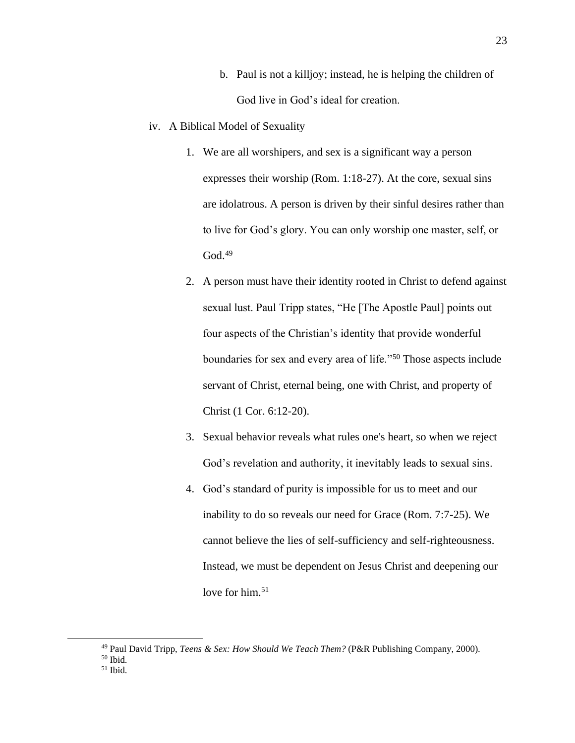- b. Paul is not a killjoy; instead, he is helping the children of God live in God's ideal for creation.
- iv. A Biblical Model of Sexuality
	- 1. We are all worshipers, and sex is a significant way a person expresses their worship (Rom. 1:18-27). At the core, sexual sins are idolatrous. A person is driven by their sinful desires rather than to live for God's glory. You can only worship one master, self, or  $God.<sup>49</sup>$
	- 2. A person must have their identity rooted in Christ to defend against sexual lust. Paul Tripp states, "He [The Apostle Paul] points out four aspects of the Christian's identity that provide wonderful boundaries for sex and every area of life."<sup>50</sup> Those aspects include servant of Christ, eternal being, one with Christ, and property of Christ (1 Cor. 6:12-20).
	- 3. Sexual behavior reveals what rules one's heart, so when we reject God's revelation and authority, it inevitably leads to sexual sins.
	- 4. God's standard of purity is impossible for us to meet and our inability to do so reveals our need for Grace (Rom. 7:7-25). We cannot believe the lies of self-sufficiency and self-righteousness. Instead, we must be dependent on Jesus Christ and deepening our love for him.<sup>51</sup>

<sup>49</sup> Paul David Tripp, *Teens & Sex: How Should We Teach Them?* (P&R Publishing Company, 2000).

<sup>50</sup> Ibid.

 $51$  Ibid.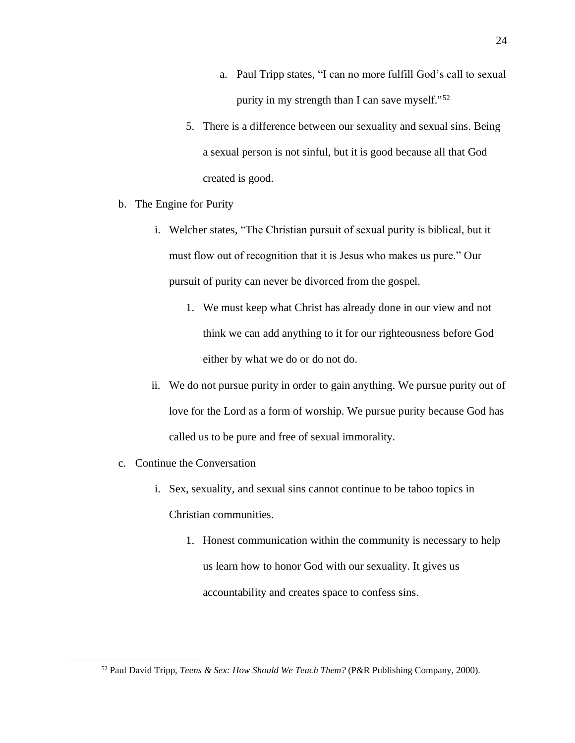- a. Paul Tripp states, "I can no more fulfill God's call to sexual purity in my strength than I can save myself."<sup>52</sup>
- 5. There is a difference between our sexuality and sexual sins. Being a sexual person is not sinful, but it is good because all that God created is good.
- b. The Engine for Purity
	- i. Welcher states, "The Christian pursuit of sexual purity is biblical, but it must flow out of recognition that it is Jesus who makes us pure." Our pursuit of purity can never be divorced from the gospel.
		- 1. We must keep what Christ has already done in our view and not think we can add anything to it for our righteousness before God either by what we do or do not do.
	- ii. We do not pursue purity in order to gain anything. We pursue purity out of love for the Lord as a form of worship. We pursue purity because God has called us to be pure and free of sexual immorality.
- c. Continue the Conversation
	- i. Sex, sexuality, and sexual sins cannot continue to be taboo topics in Christian communities.
		- 1. Honest communication within the community is necessary to help us learn how to honor God with our sexuality. It gives us accountability and creates space to confess sins.

<sup>52</sup> Paul David Tripp, *Teens & Sex: How Should We Teach Them?* (P&R Publishing Company, 2000).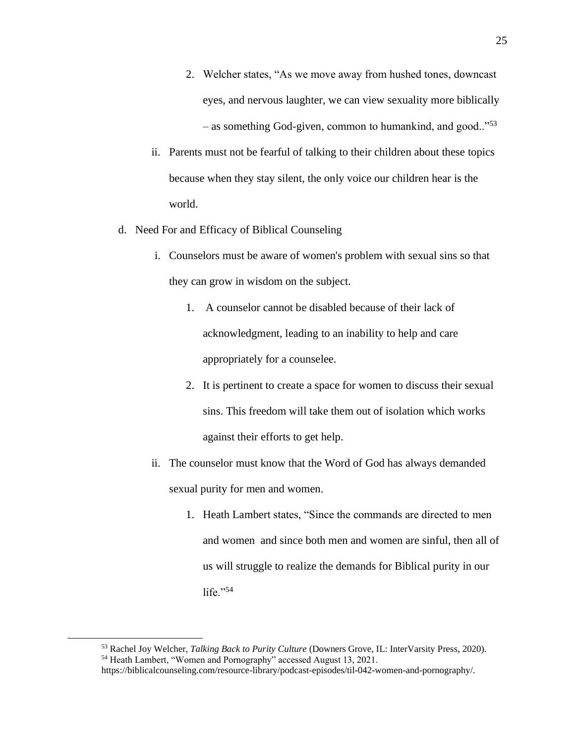- 2. Welcher states, "As we move away from hushed tones, downcast eyes, and nervous laughter, we can view sexuality more biblically – as something God-given, common to humankind, and good.."<sup>53</sup>
- ii. Parents must not be fearful of talking to their children about these topics because when they stay silent, the only voice our children hear is the world.
- d. Need For and Efficacy of Biblical Counseling
	- i. Counselors must be aware of women's problem with sexual sins so that they can grow in wisdom on the subject.
		- 1. A counselor cannot be disabled because of their lack of acknowledgment, leading to an inability to help and care appropriately for a counselee.
		- 2. It is pertinent to create a space for women to discuss their sexual sins. This freedom will take them out of isolation which works against their efforts to get help.
	- ii. The counselor must know that the Word of God has always demanded sexual purity for men and women.
		- 1. Heath Lambert states, "Since the commands are directed to men and women and since both men and women are sinful, then all of us will struggle to realize the demands for Biblical purity in our life." $54$

<sup>53</sup> Rachel Joy Welcher, *Talking Back to Purity Culture* (Downers Grove, IL: InterVarsity Press, 2020). <sup>54</sup> Heath Lambert, "Women and Pornography" accessed August 13, 2021.

https://biblicalcounseling.com/resource-library/podcast-episodes/til-042-women-and-pornography/.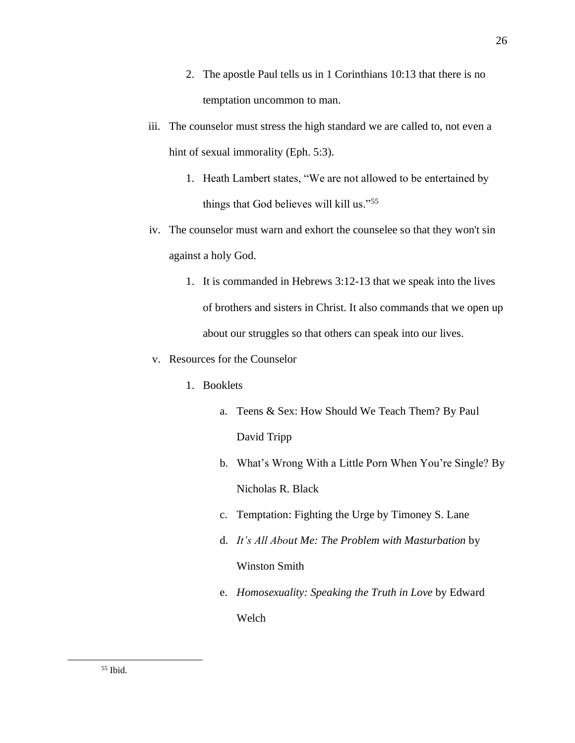- 2. The apostle Paul tells us in 1 Corinthians 10:13 that there is no temptation uncommon to man.
- iii. The counselor must stress the high standard we are called to, not even a hint of sexual immorality (Eph. 5:3).
	- 1. Heath Lambert states, "We are not allowed to be entertained by things that God believes will kill us."<sup>55</sup>
- iv. The counselor must warn and exhort the counselee so that they won't sin against a holy God.
	- 1. It is commanded in Hebrews 3:12-13 that we speak into the lives of brothers and sisters in Christ. It also commands that we open up about our struggles so that others can speak into our lives.
- v. Resources for the Counselor
	- 1. Booklets
		- a. Teens & Sex: How Should We Teach Them? By Paul David Tripp
		- b. What's Wrong With a Little Porn When You're Single? By Nicholas R. Black
		- c. Temptation: Fighting the Urge by Timoney S. Lane
		- d. *It's All About Me: The Problem with Masturbation* by Winston Smith
		- e. *Homosexuality: Speaking the Truth in Love* by Edward Welch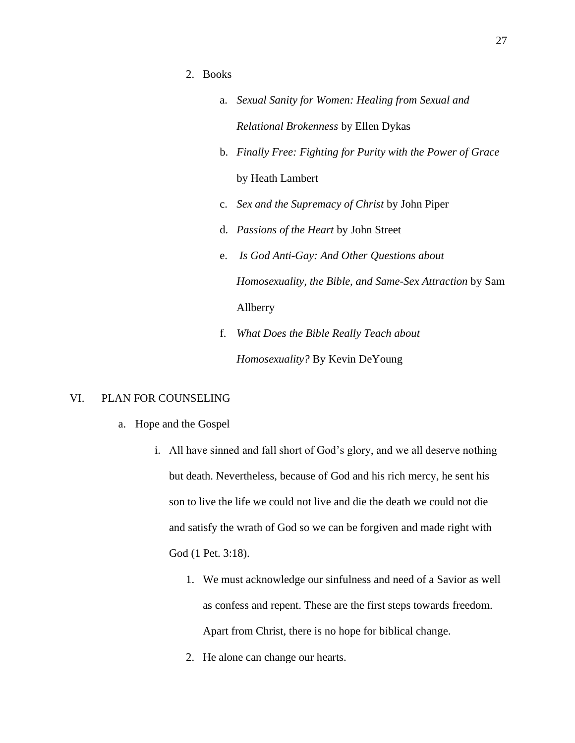- 2. Books
	- a. *Sexual Sanity for Women: Healing from Sexual and Relational Brokenness* by Ellen Dykas
	- b. *Finally Free: Fighting for Purity with the Power of Grace* by Heath Lambert
	- c. *Sex and the Supremacy of Christ* by John Piper
	- d. *Passions of the Heart* by John Street
	- e. *Is God Anti-Gay: And Other Questions about Homosexuality, the Bible, and Same-Sex Attraction* by Sam Allberry
	- f. *What Does the Bible Really Teach about Homosexuality?* By Kevin DeYoung

# VI. PLAN FOR COUNSELING

- a. Hope and the Gospel
	- i. All have sinned and fall short of God's glory, and we all deserve nothing but death. Nevertheless, because of God and his rich mercy, he sent his son to live the life we could not live and die the death we could not die and satisfy the wrath of God so we can be forgiven and made right with God (1 Pet. 3:18).
		- 1. We must acknowledge our sinfulness and need of a Savior as well as confess and repent. These are the first steps towards freedom. Apart from Christ, there is no hope for biblical change.
		- 2. He alone can change our hearts.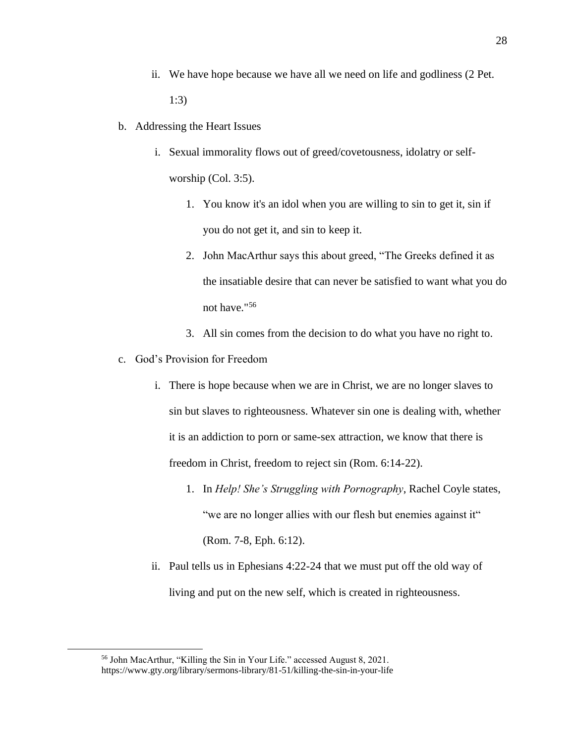- ii. We have hope because we have all we need on life and godliness (2 Pet. 1:3)
- b. Addressing the Heart Issues
	- i. Sexual immorality flows out of greed/covetousness, idolatry or selfworship (Col. 3:5).
		- 1. You know it's an idol when you are willing to sin to get it, sin if you do not get it, and sin to keep it.
		- 2. John MacArthur says this about greed, "The Greeks defined it as the insatiable desire that can never be satisfied to want what you do not have."<sup>56</sup>
		- 3. All sin comes from the decision to do what you have no right to.
- c. God's Provision for Freedom
	- i. There is hope because when we are in Christ, we are no longer slaves to sin but slaves to righteousness. Whatever sin one is dealing with, whether it is an addiction to porn or same-sex attraction, we know that there is freedom in Christ, freedom to reject sin (Rom. 6:14-22).
		- 1. In *Help! She's Struggling with Pornography*, Rachel Coyle states, "we are no longer allies with our flesh but enemies against it" (Rom. 7-8, Eph. 6:12).
	- ii. Paul tells us in Ephesians 4:22-24 that we must put off the old way of living and put on the new self, which is created in righteousness.

<sup>56</sup> John MacArthur, "Killing the Sin in Your Life." accessed August 8, 2021. https://www.gty.org/library/sermons-library/81-51/killing-the-sin-in-your-life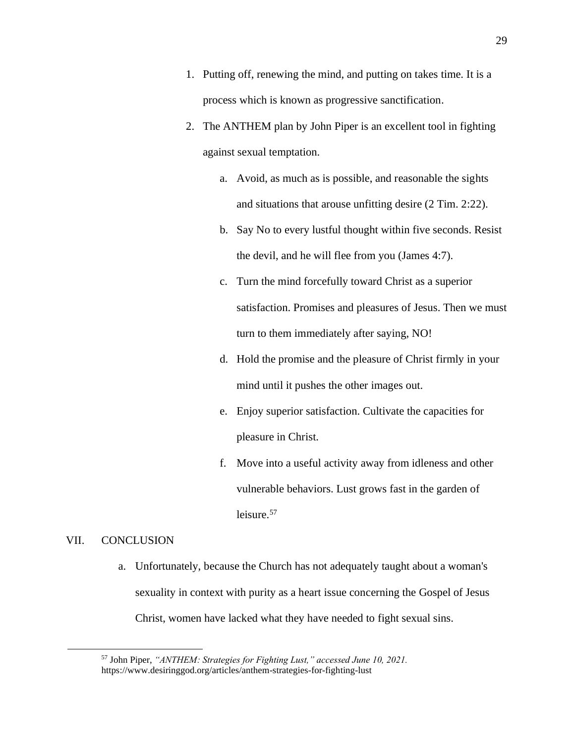- 1. Putting off, renewing the mind, and putting on takes time. It is a process which is known as progressive sanctification.
- 2. The ANTHEM plan by John Piper is an excellent tool in fighting against sexual temptation.
	- a. Avoid, as much as is possible, and reasonable the sights and situations that arouse unfitting desire (2 Tim. 2:22).
	- b. Say No to every lustful thought within five seconds. Resist the devil, and he will flee from you (James 4:7).
	- c. Turn the mind forcefully toward Christ as a superior satisfaction. Promises and pleasures of Jesus. Then we must turn to them immediately after saying, NO!
	- d. Hold the promise and the pleasure of Christ firmly in your mind until it pushes the other images out.
	- e. Enjoy superior satisfaction. Cultivate the capacities for pleasure in Christ.
	- f. Move into a useful activity away from idleness and other vulnerable behaviors. Lust grows fast in the garden of leisure.<sup>57</sup>

## VII. CONCLUSION

a. Unfortunately, because the Church has not adequately taught about a woman's sexuality in context with purity as a heart issue concerning the Gospel of Jesus Christ, women have lacked what they have needed to fight sexual sins.

<sup>57</sup> John Piper, *"ANTHEM: Strategies for Fighting Lust," accessed June 10, 2021.* https://www.desiringgod.org/articles/anthem-strategies-for-fighting-lust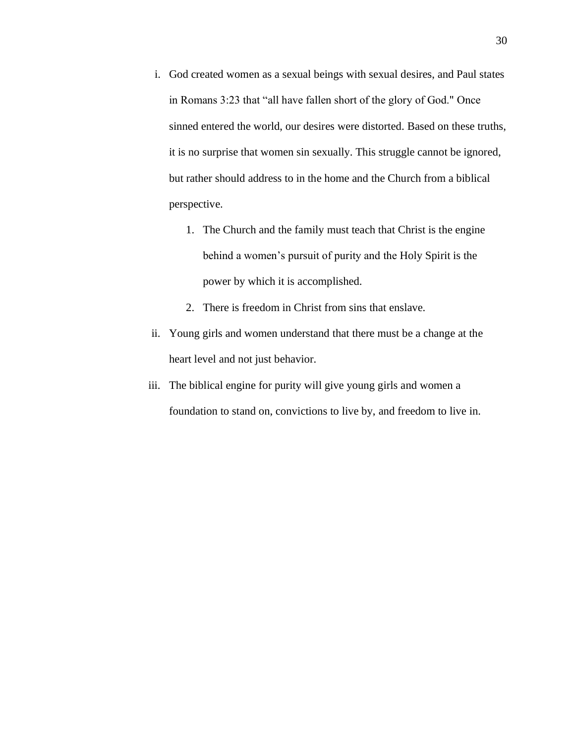- i. God created women as a sexual beings with sexual desires, and Paul states in Romans 3:23 that "all have fallen short of the glory of God." Once sinned entered the world, our desires were distorted. Based on these truths, it is no surprise that women sin sexually. This struggle cannot be ignored, but rather should address to in the home and the Church from a biblical perspective.
	- 1. The Church and the family must teach that Christ is the engine behind a women's pursuit of purity and the Holy Spirit is the power by which it is accomplished.
	- 2. There is freedom in Christ from sins that enslave.
- ii. Young girls and women understand that there must be a change at the heart level and not just behavior.
- iii. The biblical engine for purity will give young girls and women a foundation to stand on, convictions to live by, and freedom to live in.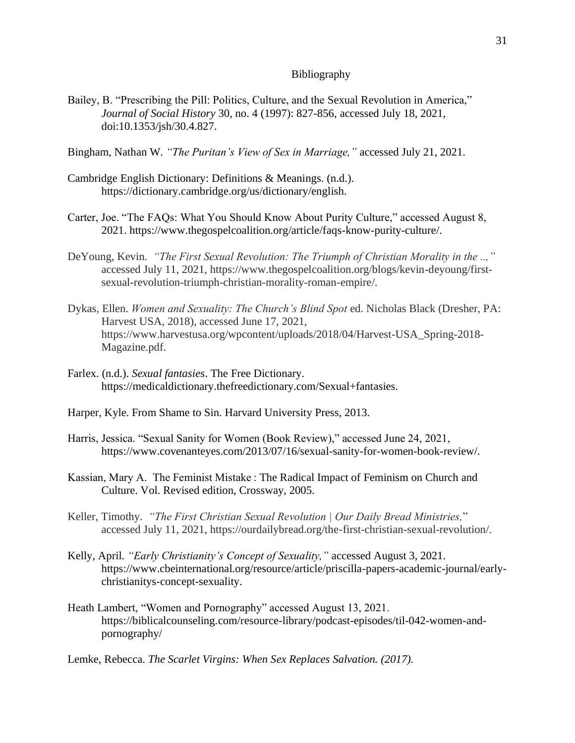#### Bibliography

Bailey, B. "Prescribing the Pill: Politics, Culture, and the Sexual Revolution in America," *Journal of Social History* 30, no. 4 (1997): 827-856, accessed July 18, 2021, doi:10.1353/jsh/30.4.827.

Bingham, Nathan W. *"The Puritan's View of Sex in Marriage,"* accessed July 21, 2021.

- Cambridge English Dictionary: Definitions & Meanings. (n.d.). https://dictionary.cambridge.org/us/dictionary/english.
- Carter, Joe. "The FAQs: What You Should Know About Purity Culture," accessed August 8, 2021. https://www.thegospelcoalition.org/article/faqs-know-purity-culture/.
- DeYoung, Kevin. *"The First Sexual Revolution: The Triumph of Christian Morality in the ..,"* accessed July 11, 2021, https://www.thegospelcoalition.org/blogs/kevin-deyoung/firstsexual-revolution-triumph-christian-morality-roman-empire/.
- Dykas, Ellen. *Women and Sexuality: The Church's Blind Spot* ed. Nicholas Black (Dresher, PA: Harvest USA, 2018), accessed June 17, 2021, https://www.harvestusa.org/wpcontent/uploads/2018/04/Harvest-USA\_Spring-2018- Magazine.pdf.
- Farlex. (n.d.). *Sexual fantasies*. The Free Dictionary. https://medicaldictionary.thefreedictionary.com/Sexual+fantasies.
- Harper, Kyle. From Shame to Sin. Harvard University Press, 2013.
- Harris, Jessica. "Sexual Sanity for Women (Book Review)," accessed June 24, 2021, https://www.covenanteyes.com/2013/07/16/sexual-sanity-for-women-book-review/.
- Kassian, Mary A. The Feminist Mistake : The Radical Impact of Feminism on Church and Culture. Vol. Revised edition, Crossway, 2005.
- Keller, Timothy. *"The First Christian Sexual Revolution | Our Daily Bread Ministries,*" accessed July 11, 2021, https://ourdailybread.org/the-first-christian-sexual-revolution/.
- Kelly, April. *"Early Christianity's Concept of Sexuality,"* accessed August 3, 2021. https://www.cbeinternational.org/resource/article/priscilla-papers-academic-journal/earlychristianitys-concept-sexuality.
- Heath Lambert, "Women and Pornography" accessed August 13, 2021. https://biblicalcounseling.com/resource-library/podcast-episodes/til-042-women-andpornography/

Lemke, Rebecca. *The Scarlet Virgins: When Sex Replaces Salvation. (2017).*